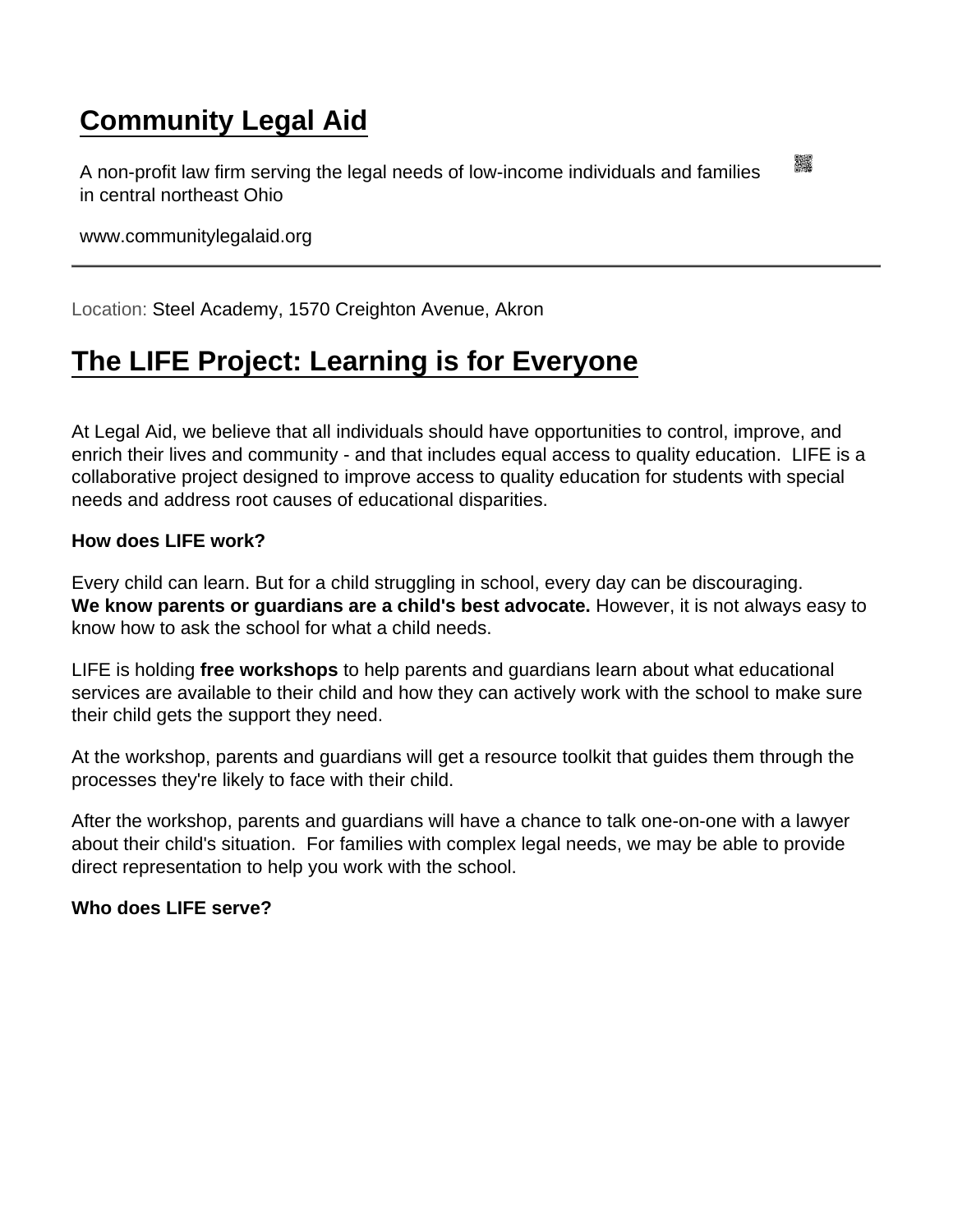## [Community Legal Aid](https://www.communitylegalaid.org/)

A non-profit law firm serving the legal needs of low-income individuals and families in central northeast Ohio

www.communitylegalaid.org

Location: Steel Academy, 1570 Creighton Avenue, Akron

## [The LIFE Project: Learning is for Everyone](https://www.communitylegalaid.org/node/967/life-project-learning-everyone)

At Legal Aid, we believe that all individuals should have opportunities to control, improve, and enrich their lives and community - and that includes equal access to quality education. LIFE is a collaborative project designed to improve access to quality education for students with special needs and address root causes of educational disparities.

How does LIFE work?

Every child can learn. But for a child struggling in school, every day can be discouraging. We know parents or guardians are a child's best advocate. However, it is not always easy to know how to ask the school for what a child needs.

LIFE is holding free workshops to help parents and guardians learn about what educational services are available to their child and how they can actively work with the school to make sure their child gets the support they need.

At the workshop, parents and guardians will get a resource toolkit that guides them through the processes they're likely to face with their child.

After the workshop, parents and guardians will have a chance to talk one-on-one with a lawyer about their child's situation. For families with complex legal needs, we may be able to provide direct representation to help you work with the school.

Who does LIFE serve?